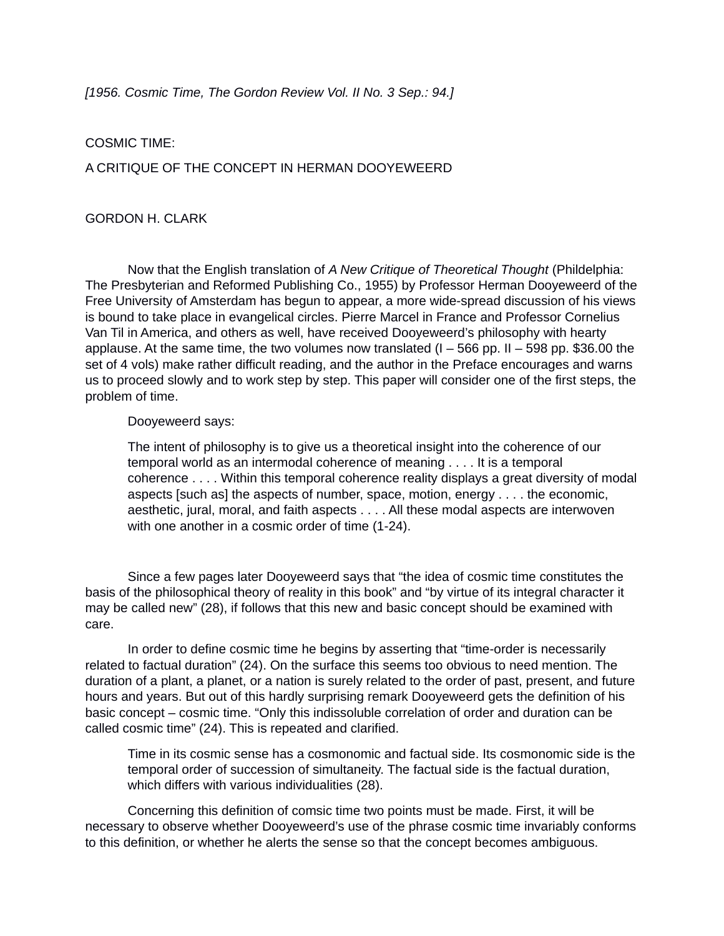*[1956. Cosmic Time, The Gordon Review Vol. II No. 3 Sep.: 94.]*

COSMIC TIME:

A CRITIQUE OF THE CONCEPT IN HERMAN DOOYEWEERD

## GORDON H. CLARK

Now that the English translation of *A New Critique of Theoretical Thought* (Phildelphia: The Presbyterian and Reformed Publishing Co., 1955) by Professor Herman Dooyeweerd of the Free University of Amsterdam has begun to appear, a more wide-spread discussion of his views is bound to take place in evangelical circles. Pierre Marcel in France and Professor Cornelius Van Til in America, and others as well, have received Dooyeweerd's philosophy with hearty applause. At the same time, the two volumes now translated  $(I - 566$  pp. II – 598 pp. \$36.00 the set of 4 vols) make rather difficult reading, and the author in the Preface encourages and warns us to proceed slowly and to work step by step. This paper will consider one of the first steps, the problem of time.

## Dooyeweerd says:

The intent of philosophy is to give us a theoretical insight into the coherence of our temporal world as an intermodal coherence of meaning . . . . It is a temporal coherence . . . . Within this temporal coherence reality displays a great diversity of modal aspects [such as] the aspects of number, space, motion, energy . . . . the economic, aesthetic, jural, moral, and faith aspects . . . . All these modal aspects are interwoven with one another in a cosmic order of time (1-24).

Since a few pages later Dooyeweerd says that "the idea of cosmic time constitutes the basis of the philosophical theory of reality in this book" and "by virtue of its integral character it may be called new" (28), if follows that this new and basic concept should be examined with care.

In order to define cosmic time he begins by asserting that "time-order is necessarily related to factual duration" (24). On the surface this seems too obvious to need mention. The duration of a plant, a planet, or a nation is surely related to the order of past, present, and future hours and years. But out of this hardly surprising remark Dooyeweerd gets the definition of his basic concept – cosmic time. "Only this indissoluble correlation of order and duration can be called cosmic time" (24). This is repeated and clarified.

Time in its cosmic sense has a cosmonomic and factual side. Its cosmonomic side is the temporal order of succession of simultaneity. The factual side is the factual duration, which differs with various individualities (28).

Concerning this definition of comsic time two points must be made. First, it will be necessary to observe whether Dooyeweerd's use of the phrase cosmic time invariably conforms to this definition, or whether he alerts the sense so that the concept becomes ambiguous.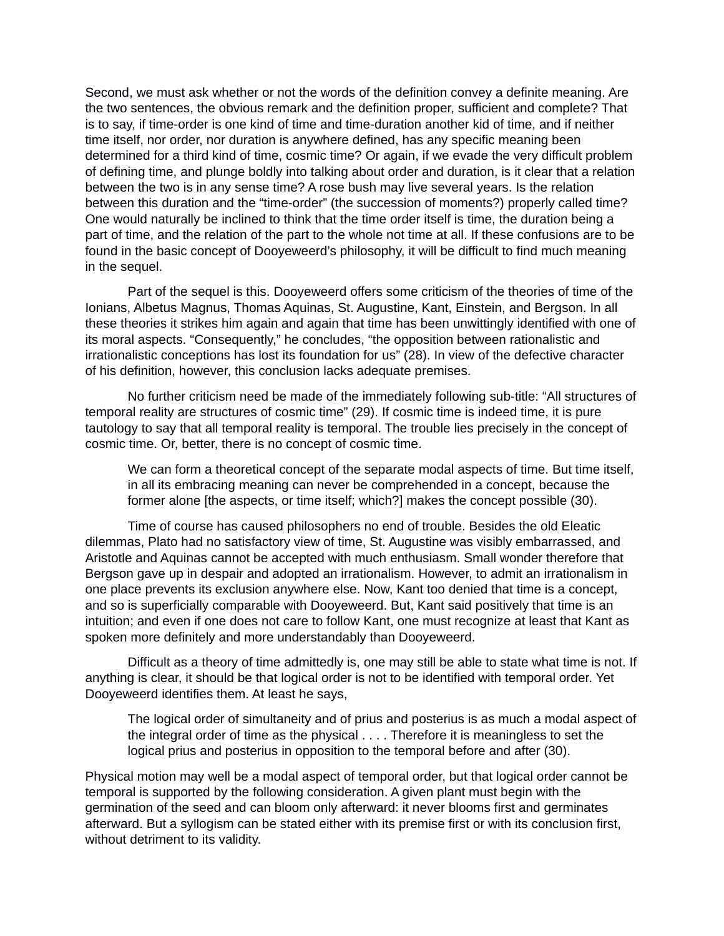Second, we must ask whether or not the words of the definition convey a definite meaning. Are the two sentences, the obvious remark and the definition proper, sufficient and complete? That is to say, if time-order is one kind of time and time-duration another kid of time, and if neither time itself, nor order, nor duration is anywhere defined, has any specific meaning been determined for a third kind of time, cosmic time? Or again, if we evade the very difficult problem of defining time, and plunge boldly into talking about order and duration, is it clear that a relation between the two is in any sense time? A rose bush may live several years. Is the relation between this duration and the "time-order" (the succession of moments?) properly called time? One would naturally be inclined to think that the time order itself is time, the duration being a part of time, and the relation of the part to the whole not time at all. If these confusions are to be found in the basic concept of Dooyeweerd's philosophy, it will be difficult to find much meaning in the sequel.

Part of the sequel is this. Dooyeweerd offers some criticism of the theories of time of the Ionians, Albetus Magnus, Thomas Aquinas, St. Augustine, Kant, Einstein, and Bergson. In all these theories it strikes him again and again that time has been unwittingly identified with one of its moral aspects. "Consequently," he concludes, "the opposition between rationalistic and irrationalistic conceptions has lost its foundation for us" (28). In view of the defective character of his definition, however, this conclusion lacks adequate premises.

No further criticism need be made of the immediately following sub-title: "All structures of temporal reality are structures of cosmic time" (29). If cosmic time is indeed time, it is pure tautology to say that all temporal reality is temporal. The trouble lies precisely in the concept of cosmic time. Or, better, there is no concept of cosmic time.

We can form a theoretical concept of the separate modal aspects of time. But time itself, in all its embracing meaning can never be comprehended in a concept, because the former alone [the aspects, or time itself; which?] makes the concept possible (30).

Time of course has caused philosophers no end of trouble. Besides the old Eleatic dilemmas, Plato had no satisfactory view of time, St. Augustine was visibly embarrassed, and Aristotle and Aquinas cannot be accepted with much enthusiasm. Small wonder therefore that Bergson gave up in despair and adopted an irrationalism. However, to admit an irrationalism in one place prevents its exclusion anywhere else. Now, Kant too denied that time is a concept, and so is superficially comparable with Dooyeweerd. But, Kant said positively that time is an intuition; and even if one does not care to follow Kant, one must recognize at least that Kant as spoken more definitely and more understandably than Dooyeweerd.

Difficult as a theory of time admittedly is, one may still be able to state what time is not. If anything is clear, it should be that logical order is not to be identified with temporal order. Yet Dooyeweerd identifies them. At least he says,

The logical order of simultaneity and of prius and posterius is as much a modal aspect of the integral order of time as the physical . . . . Therefore it is meaningless to set the logical prius and posterius in opposition to the temporal before and after (30).

Physical motion may well be a modal aspect of temporal order, but that logical order cannot be temporal is supported by the following consideration. A given plant must begin with the germination of the seed and can bloom only afterward: it never blooms first and germinates afterward. But a syllogism can be stated either with its premise first or with its conclusion first, without detriment to its validity.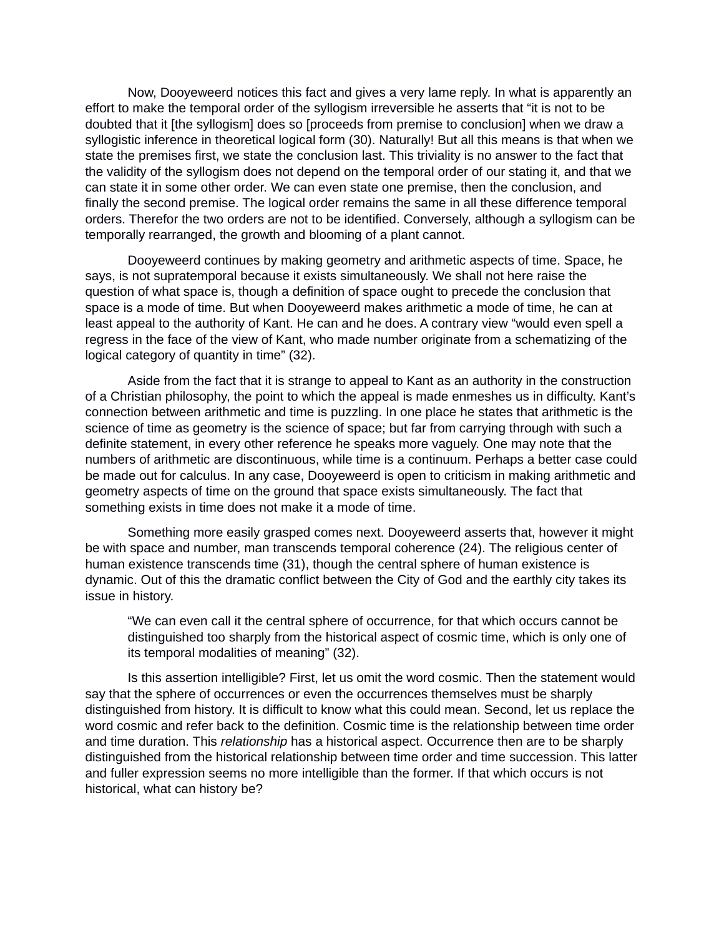Now, Dooyeweerd notices this fact and gives a very lame reply. In what is apparently an effort to make the temporal order of the syllogism irreversible he asserts that "it is not to be doubted that it [the syllogism] does so [proceeds from premise to conclusion] when we draw a syllogistic inference in theoretical logical form (30). Naturally! But all this means is that when we state the premises first, we state the conclusion last. This triviality is no answer to the fact that the validity of the syllogism does not depend on the temporal order of our stating it, and that we can state it in some other order. We can even state one premise, then the conclusion, and finally the second premise. The logical order remains the same in all these difference temporal orders. Therefor the two orders are not to be identified. Conversely, although a syllogism can be temporally rearranged, the growth and blooming of a plant cannot.

Dooyeweerd continues by making geometry and arithmetic aspects of time. Space, he says, is not supratemporal because it exists simultaneously. We shall not here raise the question of what space is, though a definition of space ought to precede the conclusion that space is a mode of time. But when Dooyeweerd makes arithmetic a mode of time, he can at least appeal to the authority of Kant. He can and he does. A contrary view "would even spell a regress in the face of the view of Kant, who made number originate from a schematizing of the logical category of quantity in time" (32).

Aside from the fact that it is strange to appeal to Kant as an authority in the construction of a Christian philosophy, the point to which the appeal is made enmeshes us in difficulty. Kant's connection between arithmetic and time is puzzling. In one place he states that arithmetic is the science of time as geometry is the science of space; but far from carrying through with such a definite statement, in every other reference he speaks more vaguely. One may note that the numbers of arithmetic are discontinuous, while time is a continuum. Perhaps a better case could be made out for calculus. In any case, Dooyeweerd is open to criticism in making arithmetic and geometry aspects of time on the ground that space exists simultaneously. The fact that something exists in time does not make it a mode of time.

Something more easily grasped comes next. Dooyeweerd asserts that, however it might be with space and number, man transcends temporal coherence (24). The religious center of human existence transcends time (31), though the central sphere of human existence is dynamic. Out of this the dramatic conflict between the City of God and the earthly city takes its issue in history.

"We can even call it the central sphere of occurrence, for that which occurs cannot be distinguished too sharply from the historical aspect of cosmic time, which is only one of its temporal modalities of meaning" (32).

Is this assertion intelligible? First, let us omit the word cosmic. Then the statement would say that the sphere of occurrences or even the occurrences themselves must be sharply distinguished from history. It is difficult to know what this could mean. Second, let us replace the word cosmic and refer back to the definition. Cosmic time is the relationship between time order and time duration. This *relationship* has a historical aspect. Occurrence then are to be sharply distinguished from the historical relationship between time order and time succession. This latter and fuller expression seems no more intelligible than the former. If that which occurs is not historical, what can history be?